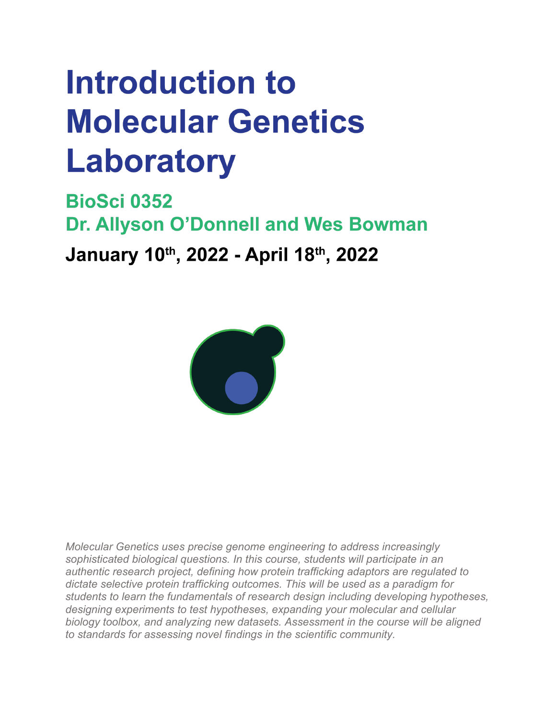# Introduction to **Molecular Genetics Laboratory**

**BioSci 0352** Dr. Allyson O'Donnell and Wes Bowman January 10th, 2022 - April 18th, 2022



*Molecular Genetics uses precise genome engineering to address increasingly sophisticated biological questions. In this course, students will participate in an authentic research project, defining how protein trafficking adaptors are regulated to dictate selective protein trafficking outcomes. This will be used as a paradigm for students to learn the fundamentals of research design including developing hypotheses, designing experiments to test hypotheses, expanding your molecular and cellular biology toolbox, and analyzing new datasets. Assessment in the course will be aligned to standards for assessing novel findings in the scientific community.*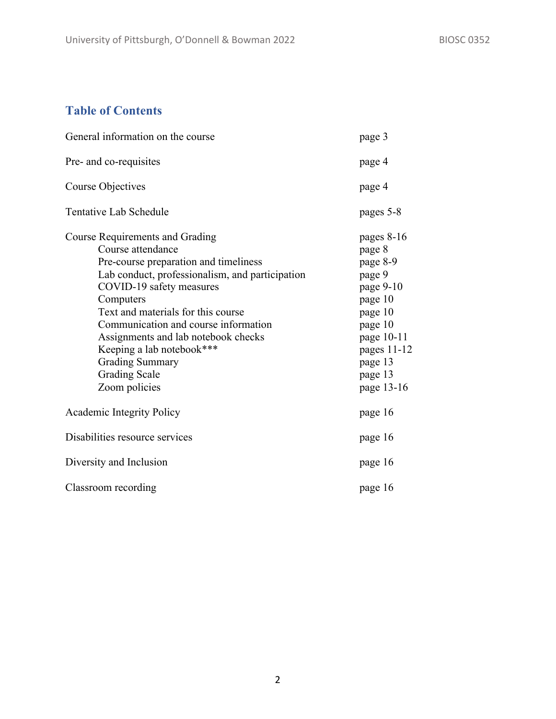# **Table of Contents**

| General information on the course                                                                                                                                                                                                                                                                                                                                                                              | page 3                                                                                                                                                        |  |
|----------------------------------------------------------------------------------------------------------------------------------------------------------------------------------------------------------------------------------------------------------------------------------------------------------------------------------------------------------------------------------------------------------------|---------------------------------------------------------------------------------------------------------------------------------------------------------------|--|
| Pre- and co-requisites                                                                                                                                                                                                                                                                                                                                                                                         | page 4                                                                                                                                                        |  |
| Course Objectives                                                                                                                                                                                                                                                                                                                                                                                              | page 4                                                                                                                                                        |  |
| Tentative Lab Schedule                                                                                                                                                                                                                                                                                                                                                                                         | pages 5-8                                                                                                                                                     |  |
| Course Requirements and Grading<br>Course attendance<br>Pre-course preparation and timeliness<br>Lab conduct, professionalism, and participation<br>COVID-19 safety measures<br>Computers<br>Text and materials for this course<br>Communication and course information<br>Assignments and lab notebook checks<br>Keeping a lab notebook***<br><b>Grading Summary</b><br><b>Grading Scale</b><br>Zoom policies | pages $8-16$<br>page 8<br>page 8-9<br>page 9<br>page 9-10<br>page 10<br>page 10<br>page 10<br>page 10-11<br>pages $11-12$<br>page 13<br>page 13<br>page 13-16 |  |
| Academic Integrity Policy                                                                                                                                                                                                                                                                                                                                                                                      | page 16                                                                                                                                                       |  |
| Disabilities resource services                                                                                                                                                                                                                                                                                                                                                                                 | page 16                                                                                                                                                       |  |
| Diversity and Inclusion                                                                                                                                                                                                                                                                                                                                                                                        | page 16                                                                                                                                                       |  |
| Classroom recording                                                                                                                                                                                                                                                                                                                                                                                            | page 16                                                                                                                                                       |  |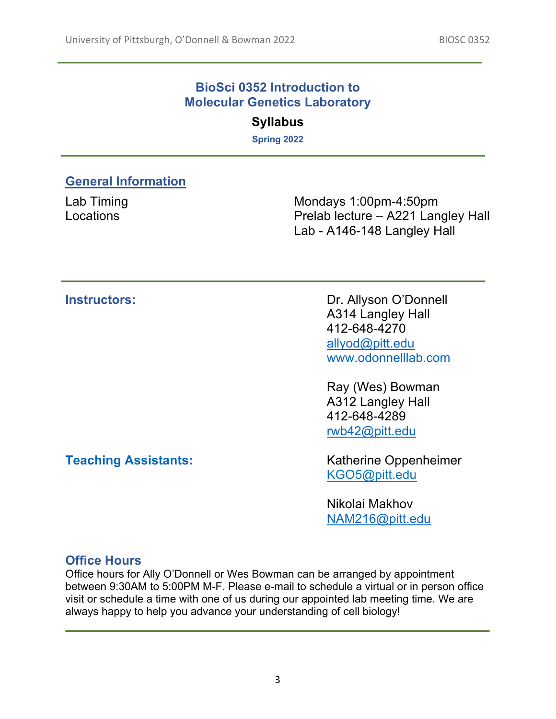### **BioSci 0352 Introduction to Molecular Genetics Laboratory**

# **Syllabus**

**Spring 2022**

# **General Information**

Lab Timing **Locations** 

Mondays 1:00pm-4:50pm Prelab lecture – A221 Langley Hall Lab - A146-148 Langley Hall

**Instructors: Dr. Allyson O'Donnell** A314 Langley Hall 412-648-4270 allyod@pitt.edu www.odonnelllab.com

> Ray (Wes) Bowman A312 Langley Hall 412-648-4289 rwb42@pitt.edu

**Teaching Assistants:** Katherine Oppenheimer KGO5@pitt.edu

> Nikolai Makhov NAM216@pitt.edu

# **Office Hours**

Office hours for Ally O'Donnell or Wes Bowman can be arranged by appointment between 9:30AM to 5:00PM M-F. Please e-mail to schedule a virtual or in person office visit or schedule a time with one of us during our appointed lab meeting time. We are always happy to help you advance your understanding of cell biology!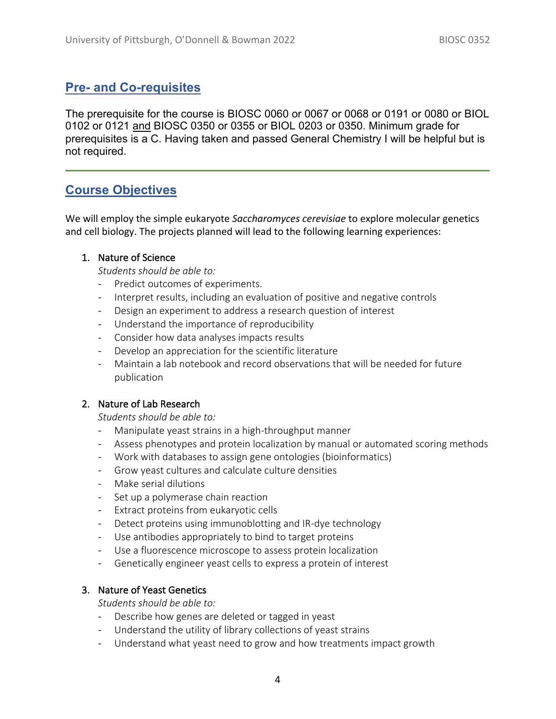# **Pre- and Co-requisites**

The prerequisite for the course is BIOSC 0060 or 0067 or 0068 or 0191 or 0080 or BIOL 0102 or 0121 and BIOSC 0350 or 0355 or BIOL 0203 or 0350. Minimum grade for prerequisites is a C. Having taken and passed General Chemistry I will be helpful but is not required.

# **Course Objectives**

We will employ the simple eukaryote *Saccharomyces cerevisiae* to explore molecular genetics and cell biology. The projects planned will lead to the following learning experiences:

#### 1. Nature of Science

*Students should be able to:*

- Predict outcomes of experiments.
- Interpret results, including an evaluation of positive and negative controls
- Design an experiment to address a research question of interest
- Understand the importance of reproducibility
- Consider how data analyses impacts results
- Develop an appreciation for the scientific literature
- Maintain a lab notebook and record observations that will be needed for future publication

#### 2. Nature of Lab Research

*Students should be able to:*

- Manipulate yeast strains in a high-throughput manner
- Assess phenotypes and protein localization by manual or automated scoring methods
- Work with databases to assign gene ontologies (bioinformatics)
- Grow yeast cultures and calculate culture densities
- Make serial dilutions
- Set up a polymerase chain reaction
- Extract proteins from eukaryotic cells
- Detect proteins using immunoblotting and IR-dye technology
- Use antibodies appropriately to bind to target proteins
- Use a fluorescence microscope to assess protein localization
- Genetically engineer yeast cells to express a protein of interest

#### 3. Nature of Yeast Genetics

*Students should be able to:*

- Describe how genes are deleted or tagged in yeast
- Understand the utility of library collections of yeast strains
- Understand what yeast need to grow and how treatments impact growth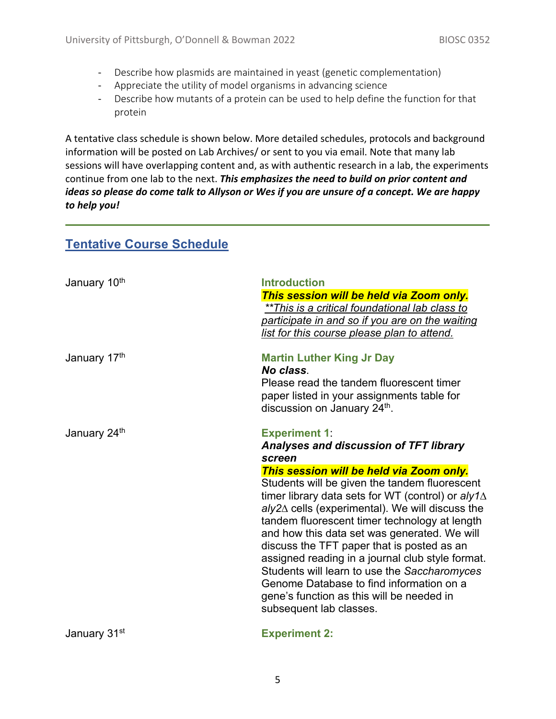- Describe how plasmids are maintained in yeast (genetic complementation)
- Appreciate the utility of model organisms in advancing science
- Describe how mutants of a protein can be used to help define the function for that protein

A tentative class schedule is shown below. More detailed schedules, protocols and background information will be posted on Lab Archives/ or sent to you via email. Note that many lab sessions will have overlapping content and, as with authentic research in a lab, the experiments continue from one lab to the next. *This emphasizes the need to build on prior content and ideas so please do come talk to Allyson or Wes if you are unsure of a concept. We are happy to help you!*

| January 10th | <b>Introduction</b><br>This session will be held via Zoom only.<br>**This is a critical foundational lab class to<br>participate in and so if you are on the waiting<br>list for this course please plan to attend.                                                                                                                                                                                                                                                                                                                                                                                                                                                       |
|--------------|---------------------------------------------------------------------------------------------------------------------------------------------------------------------------------------------------------------------------------------------------------------------------------------------------------------------------------------------------------------------------------------------------------------------------------------------------------------------------------------------------------------------------------------------------------------------------------------------------------------------------------------------------------------------------|
| January 17th | <b>Martin Luther King Jr Day</b><br>No class.<br>Please read the tandem fluorescent timer<br>paper listed in your assignments table for<br>discussion on January 24 <sup>th</sup> .                                                                                                                                                                                                                                                                                                                                                                                                                                                                                       |
| January 24th | <b>Experiment 1:</b><br><b>Analyses and discussion of TFT library</b><br>screen<br>This session will be held via Zoom only.<br>Students will be given the tandem fluorescent<br>timer library data sets for WT (control) or $a/y1\Delta$<br>$a/y2\Delta$ cells (experimental). We will discuss the<br>tandem fluorescent timer technology at length<br>and how this data set was generated. We will<br>discuss the TFT paper that is posted as an<br>assigned reading in a journal club style format.<br>Students will learn to use the Saccharomyces<br>Genome Database to find information on a<br>gene's function as this will be needed in<br>subsequent lab classes. |
| January 31st | <b>Experiment 2:</b>                                                                                                                                                                                                                                                                                                                                                                                                                                                                                                                                                                                                                                                      |

# **Tentative Course Schedule**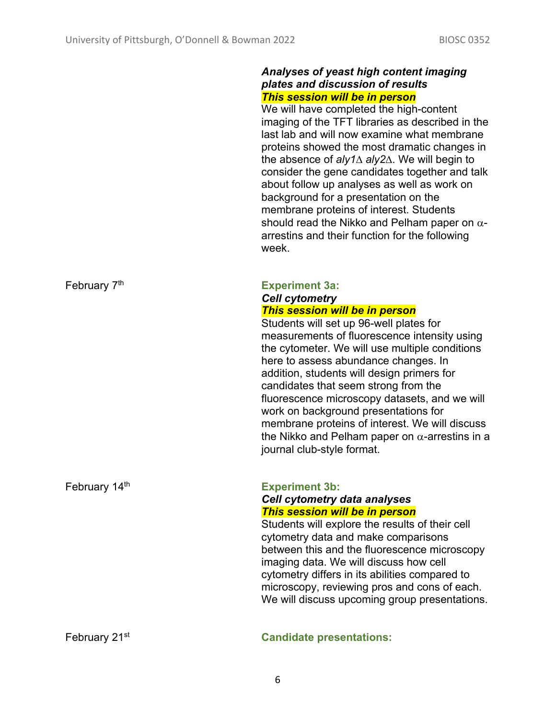#### *Analyses of yeast high content imaging plates and discussion of results This session will be in person*

We will have completed the high-content imaging of the TFT libraries as described in the last lab and will now examine what membrane proteins showed the most dramatic changes in the absence of *aly1*∆ *aly2*∆. We will begin to consider the gene candidates together and talk about follow up analyses as well as work on background for a presentation on the membrane proteins of interest. Students should read the Nikko and Pelham paper on  $\alpha$ arrestins and their function for the following week.

#### February 7th **Experiment 3a:** *Cell cytometry This session will be in person*

Students will set up 96-well plates for measurements of fluorescence intensity using the cytometer. We will use multiple conditions here to assess abundance changes. In addition, students will design primers for candidates that seem strong from the fluorescence microscopy datasets, and we will work on background presentations for membrane proteins of interest. We will discuss the Nikko and Pelham paper on  $\alpha$ -arrestins in a journal club-style format.

#### February 14<sup>th</sup> **Experiment 3b:** *Cell cytometry data analyses This session will be in person*

Students will explore the results of their cell cytometry data and make comparisons between this and the fluorescence microscopy imaging data. We will discuss how cell cytometry differs in its abilities compared to microscopy, reviewing pros and cons of each. We will discuss upcoming group presentations.

#### February 21st **Candidate presentations:**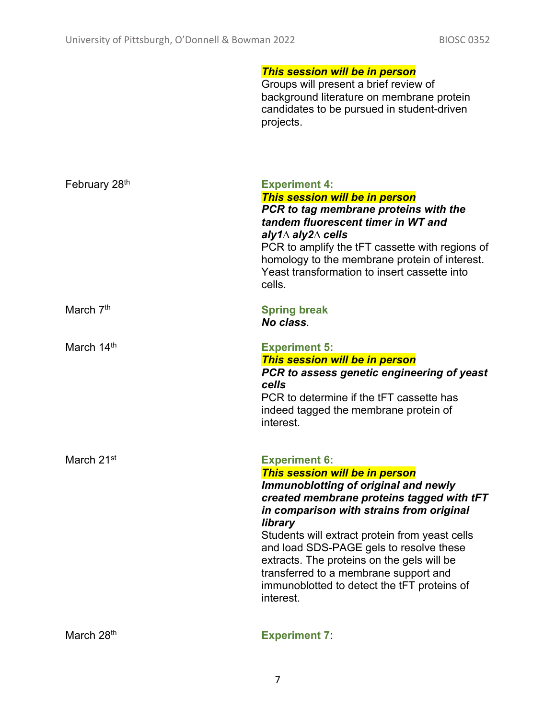|                        | <b>This session will be in person</b><br>Groups will present a brief review of<br>background literature on membrane protein<br>candidates to be pursued in student-driven<br>projects.                                                                                                                                                                                                                                                             |
|------------------------|----------------------------------------------------------------------------------------------------------------------------------------------------------------------------------------------------------------------------------------------------------------------------------------------------------------------------------------------------------------------------------------------------------------------------------------------------|
| February 28th          | <b>Experiment 4:</b><br>This session will be in person<br>PCR to tag membrane proteins with the<br>tandem fluorescent timer in WT and<br>aly1 $\Delta$ aly2 $\Delta$ cells<br>PCR to amplify the tFT cassette with regions of<br>homology to the membrane protein of interest.<br>Yeast transformation to insert cassette into<br>cells.                                                                                                           |
| March 7 <sup>th</sup>  | <b>Spring break</b><br>No class.                                                                                                                                                                                                                                                                                                                                                                                                                   |
| March 14th             | <b>Experiment 5:</b><br>This session will be in person<br>PCR to assess genetic engineering of yeast<br>cells<br>PCR to determine if the tFT cassette has<br>indeed tagged the membrane protein of<br>interest.                                                                                                                                                                                                                                    |
| March 21 <sup>st</sup> | <b>Experiment 6:</b><br>This session will be in person<br>Immunoblotting of original and newly<br>created membrane proteins tagged with tFT<br>in comparison with strains from original<br>library<br>Students will extract protein from yeast cells<br>and load SDS-PAGE gels to resolve these<br>extracts. The proteins on the gels will be<br>transferred to a membrane support and<br>immunoblotted to detect the tFT proteins of<br>interest. |
| March 28th             | <b>Experiment 7:</b>                                                                                                                                                                                                                                                                                                                                                                                                                               |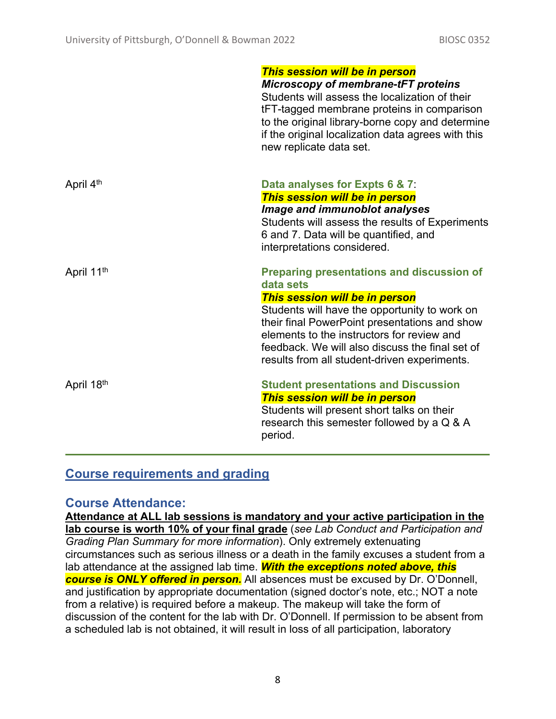|                        | This session will be in person<br>Microscopy of membrane-tFT proteins<br>Students will assess the localization of their<br>tFT-tagged membrane proteins in comparison<br>to the original library-borne copy and determine<br>if the original localization data agrees with this<br>new replicate data set.                                         |
|------------------------|----------------------------------------------------------------------------------------------------------------------------------------------------------------------------------------------------------------------------------------------------------------------------------------------------------------------------------------------------|
| April 4 <sup>th</sup>  | Data analyses for Expts 6 & 7:<br>This session will be in person<br>Image and immunoblot analyses<br>Students will assess the results of Experiments<br>6 and 7. Data will be quantified, and<br>interpretations considered.                                                                                                                       |
| April 11 <sup>th</sup> | <b>Preparing presentations and discussion of</b><br>data sets<br>This session will be in person<br>Students will have the opportunity to work on<br>their final PowerPoint presentations and show<br>elements to the instructors for review and<br>feedback. We will also discuss the final set of<br>results from all student-driven experiments. |
| April 18th             | <b>Student presentations and Discussion</b><br>This session will be in person<br>Students will present short talks on their<br>research this semester followed by a Q & A<br>period.                                                                                                                                                               |

# **Course requirements and grading**

### **Course Attendance:**

**Attendance at ALL lab sessions is mandatory and your active participation in the lab course is worth 10% of your final grade** (*see Lab Conduct and Participation and Grading Plan Summary for more information*). Only extremely extenuating circumstances such as serious illness or a death in the family excuses a student from a lab attendance at the assigned lab time. *With the exceptions noted above, this course is ONLY offered in person.* All absences must be excused by Dr. O'Donnell, and justification by appropriate documentation (signed doctor's note, etc.; NOT a note from a relative) is required before a makeup. The makeup will take the form of discussion of the content for the lab with Dr. O'Donnell. If permission to be absent from a scheduled lab is not obtained, it will result in loss of all participation, laboratory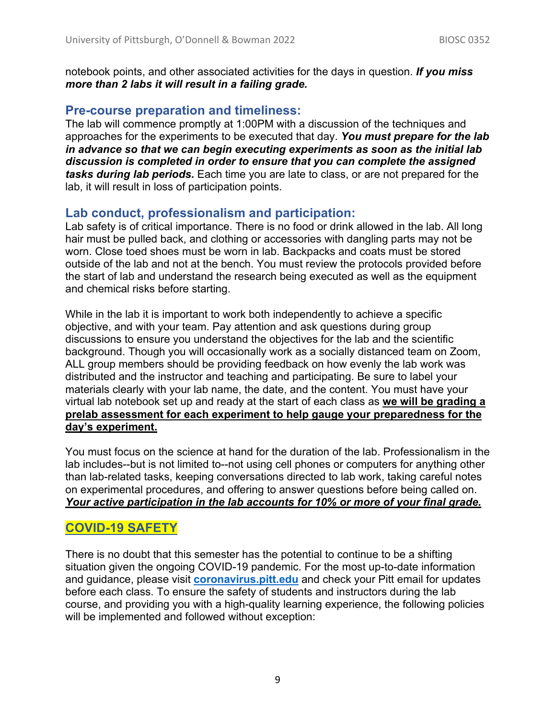notebook points, and other associated activities for the days in question. *If you miss more than 2 labs it will result in a failing grade.*

# **Pre-course preparation and timeliness:**

The lab will commence promptly at 1:00PM with a discussion of the techniques and approaches for the experiments to be executed that day. *You must prepare for the lab in advance so that we can begin executing experiments as soon as the initial lab discussion is completed in order to ensure that you can complete the assigned tasks during lab periods.* Each time you are late to class, or are not prepared for the lab, it will result in loss of participation points.

# **Lab conduct, professionalism and participation:**

Lab safety is of critical importance. There is no food or drink allowed in the lab. All long hair must be pulled back, and clothing or accessories with dangling parts may not be worn. Close toed shoes must be worn in lab. Backpacks and coats must be stored outside of the lab and not at the bench. You must review the protocols provided before the start of lab and understand the research being executed as well as the equipment and chemical risks before starting.

While in the lab it is important to work both independently to achieve a specific objective, and with your team. Pay attention and ask questions during group discussions to ensure you understand the objectives for the lab and the scientific background. Though you will occasionally work as a socially distanced team on Zoom, ALL group members should be providing feedback on how evenly the lab work was distributed and the instructor and teaching and participating. Be sure to label your materials clearly with your lab name, the date, and the content. You must have your virtual lab notebook set up and ready at the start of each class as **we will be grading a prelab assessment for each experiment to help gauge your preparedness for the day's experiment.** 

You must focus on the science at hand for the duration of the lab. Professionalism in the lab includes--but is not limited to--not using cell phones or computers for anything other than lab-related tasks, keeping conversations directed to lab work, taking careful notes on experimental procedures, and offering to answer questions before being called on. *Your active participation in the lab accounts for 10% or more of your final grade.*

# **COVID-19 SAFETY**

There is no doubt that this semester has the potential to continue to be a shifting situation given the ongoing COVID-19 pandemic. For the most up-to-date information and guidance, please visit **coronavirus.pitt.edu** and check your Pitt email for updates before each class. To ensure the safety of students and instructors during the lab course, and providing you with a high-quality learning experience, the following policies will be implemented and followed without exception: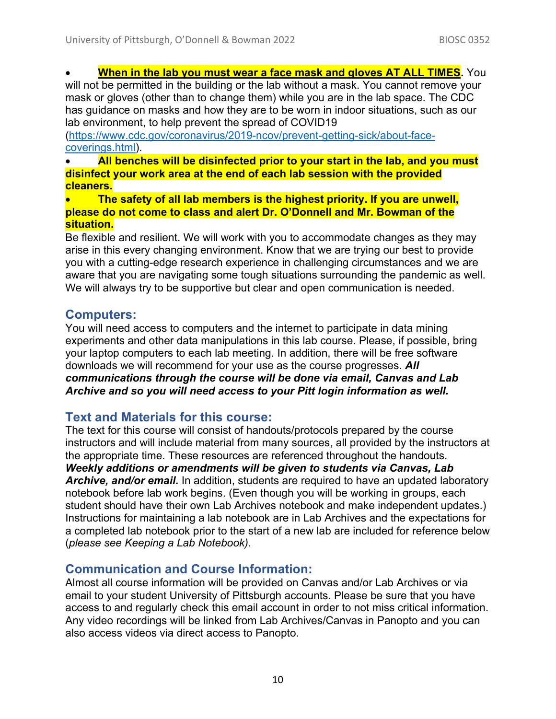**When in the lab you must wear a face mask and gloves AT ALL TIMES.** You

will not be permitted in the building or the lab without a mask. You cannot remove your mask or gloves (other than to change them) while you are in the lab space. The CDC has guidance on masks and how they are to be worn in indoor situations, such as our lab environment, to help prevent the spread of COVID19

(https://www.cdc.gov/coronavirus/2019-ncov/prevent-getting-sick/about-facecoverings.html).

• **All benches will be disinfected prior to your start in the lab, and you must disinfect your work area at the end of each lab session with the provided cleaners.**

• **The safety of all lab members is the highest priority. If you are unwell, please do not come to class and alert Dr. O'Donnell and Mr. Bowman of the situation.**

• Be flexible and resilient. We will work with you to accommodate changes as they may arise in this every changing environment. Know that we are trying our best to provide you with a cutting-edge research experience in challenging circumstances and we are aware that you are navigating some tough situations surrounding the pandemic as well. We will always try to be supportive but clear and open communication is needed.

# **Computers:**

You will need access to computers and the internet to participate in data mining experiments and other data manipulations in this lab course. Please, if possible, bring your laptop computers to each lab meeting. In addition, there will be free software downloads we will recommend for your use as the course progresses. *All communications through the course will be done via email, Canvas and Lab Archive and so you will need access to your Pitt login information as well.*

# **Text and Materials for this course:**

The text for this course will consist of handouts/protocols prepared by the course instructors and will include material from many sources, all provided by the instructors at the appropriate time. These resources are referenced throughout the handouts. *Weekly additions or amendments will be given to students via Canvas, Lab Archive, and/or email.* In addition, students are required to have an updated laboratory notebook before lab work begins. (Even though you will be working in groups, each student should have their own Lab Archives notebook and make independent updates.) Instructions for maintaining a lab notebook are in Lab Archives and the expectations for a completed lab notebook prior to the start of a new lab are included for reference below (*please see Keeping a Lab Notebook)*.

# **Communication and Course Information:**

Almost all course information will be provided on Canvas and/or Lab Archives or via email to your student University of Pittsburgh accounts. Please be sure that you have access to and regularly check this email account in order to not miss critical information. Any video recordings will be linked from Lab Archives/Canvas in Panopto and you can also access videos via direct access to Panopto.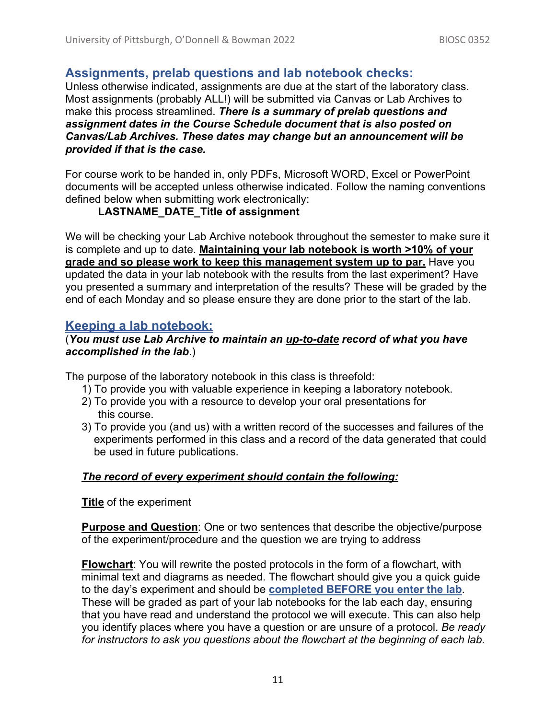# **Assignments, prelab questions and lab notebook checks:**

Unless otherwise indicated, assignments are due at the start of the laboratory class. Most assignments (probably ALL!) will be submitted via Canvas or Lab Archives to make this process streamlined. *There is a summary of prelab questions and assignment dates in the Course Schedule document that is also posted on Canvas/Lab Archives. These dates may change but an announcement will be provided if that is the case.* 

For course work to be handed in, only PDFs, Microsoft WORD, Excel or PowerPoint documents will be accepted unless otherwise indicated. Follow the naming conventions defined below when submitting work electronically:

### **LASTNAME\_DATE\_Title of assignment**

We will be checking your Lab Archive notebook throughout the semester to make sure it is complete and up to date. **Maintaining your lab notebook is worth >10% of your grade and so please work to keep this management system up to par.** Have you updated the data in your lab notebook with the results from the last experiment? Have you presented a summary and interpretation of the results? These will be graded by the end of each Monday and so please ensure they are done prior to the start of the lab.

# **Keeping a lab notebook:**

#### (*You must use Lab Archive to maintain an up-to-date record of what you have accomplished in the lab*.)

The purpose of the laboratory notebook in this class is threefold:

- 1) To provide you with valuable experience in keeping a laboratory notebook.
- 2) To provide you with a resource to develop your oral presentations for this course.
- 3) To provide you (and us) with a written record of the successes and failures of the experiments performed in this class and a record of the data generated that could be used in future publications.

### *The record of every experiment should contain the following:*

**Title** of the experiment

**Purpose and Question**: One or two sentences that describe the objective/purpose of the experiment/procedure and the question we are trying to address

**Flowchart**: You will rewrite the posted protocols in the form of a flowchart, with minimal text and diagrams as needed. The flowchart should give you a quick guide to the day's experiment and should be **completed BEFORE you enter the lab**. These will be graded as part of your lab notebooks for the lab each day, ensuring that you have read and understand the protocol we will execute. This can also help you identify places where you have a question or are unsure of a protocol. *Be ready for instructors to ask you questions about the flowchart at the beginning of each lab.*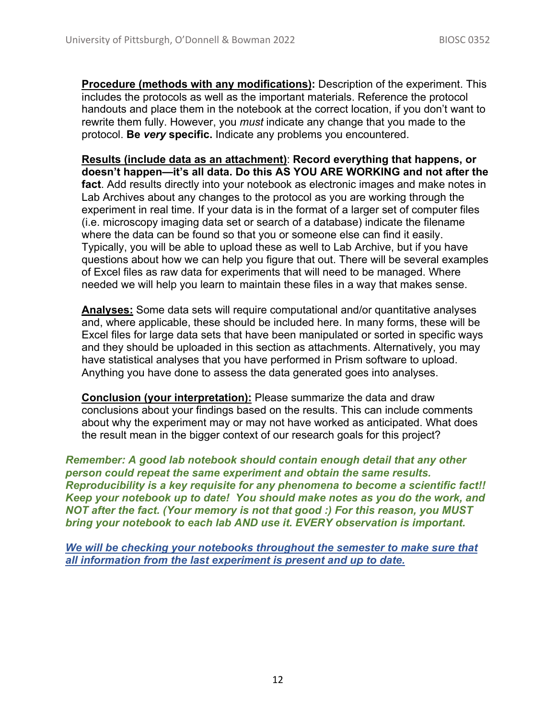**Procedure (methods with any modifications):** Description of the experiment. This includes the protocols as well as the important materials. Reference the protocol handouts and place them in the notebook at the correct location, if you don't want to rewrite them fully. However, you *must* indicate any change that you made to the protocol. **Be** *very* **specific.** Indicate any problems you encountered.

**Results (include data as an attachment)**: **Record everything that happens, or doesn't happen—it's all data. Do this AS YOU ARE WORKING and not after the fact**. Add results directly into your notebook as electronic images and make notes in Lab Archives about any changes to the protocol as you are working through the experiment in real time. If your data is in the format of a larger set of computer files (i.e. microscopy imaging data set or search of a database) indicate the filename where the data can be found so that you or someone else can find it easily. Typically, you will be able to upload these as well to Lab Archive, but if you have questions about how we can help you figure that out. There will be several examples of Excel files as raw data for experiments that will need to be managed. Where needed we will help you learn to maintain these files in a way that makes sense.

**Analyses:** Some data sets will require computational and/or quantitative analyses and, where applicable, these should be included here. In many forms, these will be Excel files for large data sets that have been manipulated or sorted in specific ways and they should be uploaded in this section as attachments. Alternatively, you may have statistical analyses that you have performed in Prism software to upload. Anything you have done to assess the data generated goes into analyses.

**Conclusion (your interpretation):** Please summarize the data and draw conclusions about your findings based on the results. This can include comments about why the experiment may or may not have worked as anticipated. What does the result mean in the bigger context of our research goals for this project?

*Remember: A good lab notebook should contain enough detail that any other person could repeat the same experiment and obtain the same results. Reproducibility is a key requisite for any phenomena to become a scientific fact!! Keep your notebook up to date! You should make notes as you do the work, and NOT after the fact. (Your memory is not that good :) For this reason, you MUST bring your notebook to each lab AND use it. EVERY observation is important.* 

*We will be checking your notebooks throughout the semester to make sure that all information from the last experiment is present and up to date.*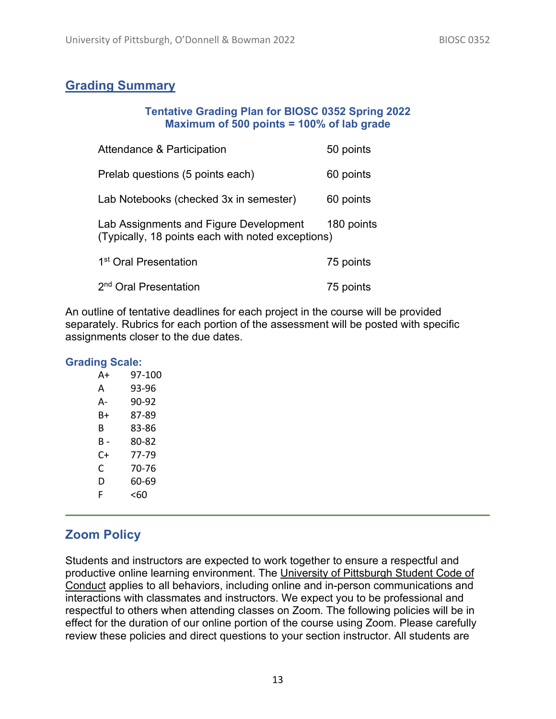# **Grading Summary**

#### **Tentative Grading Plan for BIOSC 0352 Spring 2022 Maximum of 500 points = 100% of lab grade**

| <b>Attendance &amp; Participation</b>                                                       | 50 points  |
|---------------------------------------------------------------------------------------------|------------|
| Prelab questions (5 points each)                                                            | 60 points  |
| Lab Notebooks (checked 3x in semester)                                                      | 60 points  |
| Lab Assignments and Figure Development<br>(Typically, 18 points each with noted exceptions) | 180 points |
| 1 <sup>st</sup> Oral Presentation                                                           | 75 points  |
| 2 <sup>nd</sup> Oral Presentation                                                           | 75 points  |

An outline of tentative deadlines for each project in the course will be provided separately. Rubrics for each portion of the assessment will be posted with specific assignments closer to the due dates.

#### **Grading Scale:**

| A+  | 97-100 |
|-----|--------|
| А   | 93-96  |
| А-  | 90-92  |
| B+  | 87-89  |
| В   | 83-86  |
| в - | 80-82  |
| ር+  | 77-79  |
| C   | 70-76  |
| D   | 60-69  |
| F   | <60    |

# **Zoom Policy**

Students and instructors are expected to work together to ensure a respectful and productive online learning environment. The University of Pittsburgh Student Code of Conduct applies to all behaviors, including online and in-person communications and interactions with classmates and instructors. We expect you to be professional and respectful to others when attending classes on Zoom. The following policies will be in effect for the duration of our online portion of the course using Zoom. Please carefully review these policies and direct questions to your section instructor. All students are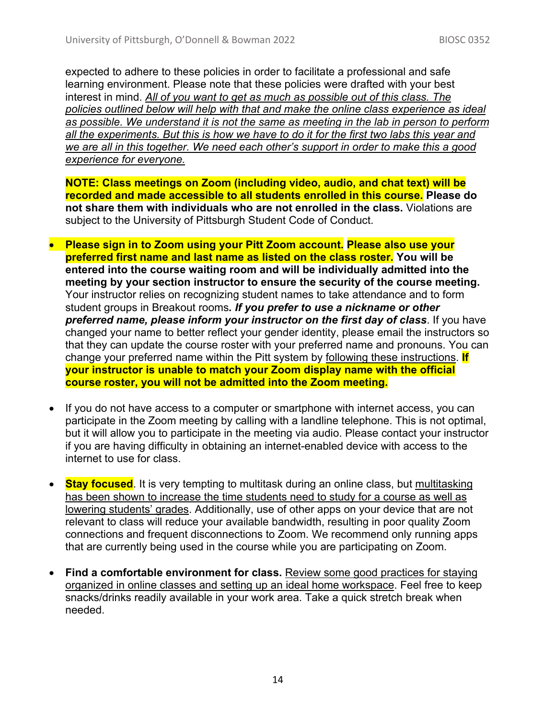expected to adhere to these policies in order to facilitate a professional and safe learning environment. Please note that these policies were drafted with your best interest in mind. *All of you want to get as much as possible out of this class. The policies outlined below will help with that and make the online class experience as ideal as possible. We understand it is not the same as meeting in the lab in person to perform all the experiments. But this is how we have to do it for the first two labs this year and we are all in this together. We need each other's support in order to make this a good experience for everyone.*

**NOTE: Class meetings on Zoom (including video, audio, and chat text) will be recorded and made accessible to all students enrolled in this course. Please do not share them with individuals who are not enrolled in the class.** Violations are subject to the University of Pittsburgh Student Code of Conduct.

- **Please sign in to Zoom using your Pitt Zoom account. Please also use your preferred first name and last name as listed on the class roster. You will be entered into the course waiting room and will be individually admitted into the meeting by your section instructor to ensure the security of the course meeting.** Your instructor relies on recognizing student names to take attendance and to form student groups in Breakout rooms*. If you prefer to use a nickname or other preferred name, please inform your instructor on the first day of class*. If you have changed your name to better reflect your gender identity, please email the instructors so that they can update the course roster with your preferred name and pronouns. You can change your preferred name within the Pitt system by following these instructions. **If your instructor is unable to match your Zoom display name with the official course roster, you will not be admitted into the Zoom meeting.**
- If you do not have access to a computer or smartphone with internet access, you can participate in the Zoom meeting by calling with a landline telephone. This is not optimal, but it will allow you to participate in the meeting via audio. Please contact your instructor if you are having difficulty in obtaining an internet-enabled device with access to the internet to use for class.
- **Stay focused**. It is very tempting to multitask during an online class, but multitasking has been shown to increase the time students need to study for a course as well as lowering students' grades. Additionally, use of other apps on your device that are not relevant to class will reduce your available bandwidth, resulting in poor quality Zoom connections and frequent disconnections to Zoom. We recommend only running apps that are currently being used in the course while you are participating on Zoom.
- **Find a comfortable environment for class.** Review some good practices for staying organized in online classes and setting up an ideal home workspace. Feel free to keep snacks/drinks readily available in your work area. Take a quick stretch break when needed.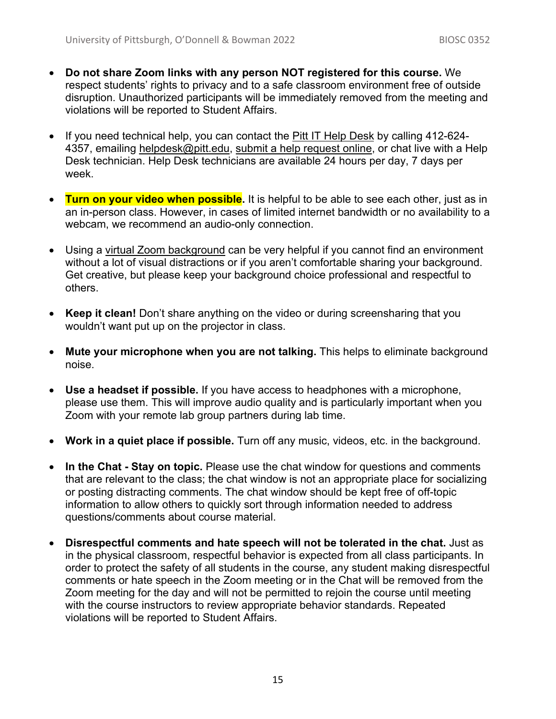- **Do not share Zoom links with any person NOT registered for this course.** We respect students' rights to privacy and to a safe classroom environment free of outside disruption. Unauthorized participants will be immediately removed from the meeting and violations will be reported to Student Affairs.
- If you need technical help, you can contact the Pitt IT Help Desk by calling 412-624- 4357, emailing helpdesk@pitt.edu, submit a help request online, or chat live with a Help Desk technician. Help Desk technicians are available 24 hours per day, 7 days per week.
- **Turn on your video when possible.** It is helpful to be able to see each other, just as in an in-person class. However, in cases of limited internet bandwidth or no availability to a webcam, we recommend an audio-only connection.
- Using a virtual Zoom background can be very helpful if you cannot find an environment without a lot of visual distractions or if you aren't comfortable sharing your background. Get creative, but please keep your background choice professional and respectful to others.
- **Keep it clean!** Don't share anything on the video or during screensharing that you wouldn't want put up on the projector in class.
- **Mute your microphone when you are not talking.** This helps to eliminate background noise.
- **Use a headset if possible.** If you have access to headphones with a microphone, please use them. This will improve audio quality and is particularly important when you Zoom with your remote lab group partners during lab time.
- **Work in a quiet place if possible.** Turn off any music, videos, etc. in the background.
- **In the Chat - Stay on topic.** Please use the chat window for questions and comments that are relevant to the class; the chat window is not an appropriate place for socializing or posting distracting comments. The chat window should be kept free of off-topic information to allow others to quickly sort through information needed to address questions/comments about course material.
- **Disrespectful comments and hate speech will not be tolerated in the chat.** Just as in the physical classroom, respectful behavior is expected from all class participants. In order to protect the safety of all students in the course, any student making disrespectful comments or hate speech in the Zoom meeting or in the Chat will be removed from the Zoom meeting for the day and will not be permitted to rejoin the course until meeting with the course instructors to review appropriate behavior standards. Repeated violations will be reported to Student Affairs.